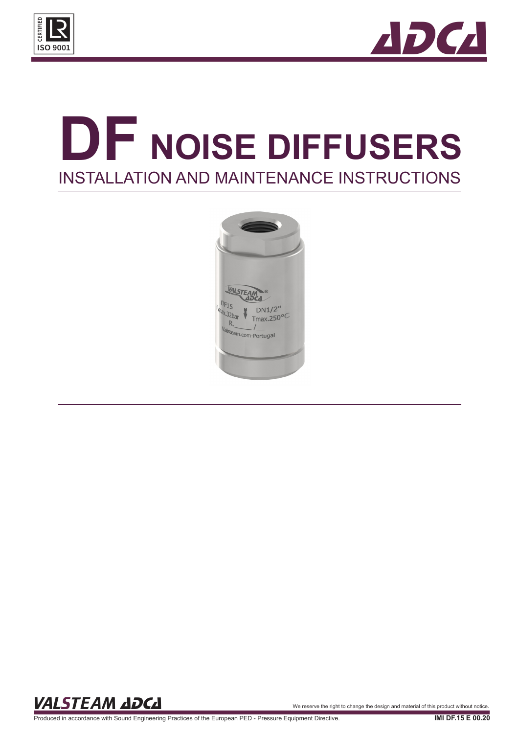



# **DF NOISE DIFFUSERS** INSTALLATION AND MAINTENANCE INSTRUCTIONS



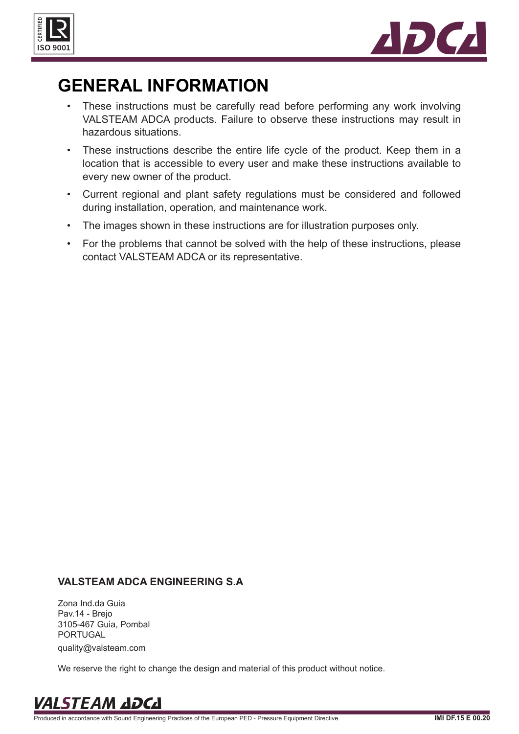



### **GENERAL INFORMATION**

- These instructions must be carefully read before performing any work involving VALSTEAM ADCA products. Failure to observe these instructions may result in hazardous situations.
- These instructions describe the entire life cycle of the product. Keep them in a location that is accessible to every user and make these instructions available to every new owner of the product.
- Current regional and plant safety regulations must be considered and followed during installation, operation, and maintenance work.
- The images shown in these instructions are for illustration purposes only.
- For the problems that cannot be solved with the help of these instructions, please contact VALSTEAM ADCA or its representative.

#### **VALSTEAM ADCA ENGINEERING S.A**

Zona Ind.da Guia Pav.14 - Brejo 3105-467 Guia, Pombal PORTUGAL quality@valsteam.com

We reserve the right to change the design and material of this product without notice.

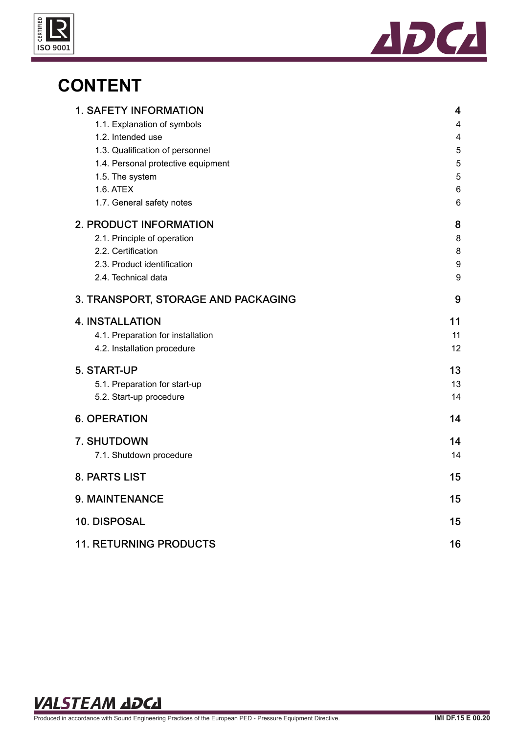



### **CONTENT**

| <b>1. SAFETY INFORMATION</b>        | 4          |
|-------------------------------------|------------|
| 1.1. Explanation of symbols         | 4          |
| 1.2. Intended use                   | 4          |
| 1.3. Qualification of personnel     | $\sqrt{5}$ |
| 1.4. Personal protective equipment  | 5          |
| 1.5. The system                     | 5          |
| 1.6. ATEX                           | 6          |
| 1.7. General safety notes           | 6          |
| <b>2. PRODUCT INFORMATION</b>       | 8          |
| 2.1. Principle of operation         | 8          |
| 2.2. Certification                  | 8          |
| 2.3. Product identification         | 9          |
| 2.4. Technical data                 | 9          |
| 3. TRANSPORT, STORAGE AND PACKAGING | 9          |
| <b>4. INSTALLATION</b>              | 11         |
| 4.1. Preparation for installation   | 11         |
| 4.2. Installation procedure         | 12         |
| 5. START-UP                         | 13         |
| 5.1. Preparation for start-up       | 13         |
| 5.2. Start-up procedure             | 14         |
| <b>6. OPERATION</b>                 | 14         |
| 7. SHUTDOWN                         | 14         |
| 7.1. Shutdown procedure             | 14         |
|                                     |            |
| 8. PARTS LIST                       | 15         |
| 9. MAINTENANCE                      | 15         |
| 10. DISPOSAL                        | 15         |
| <b>11. RETURNING PRODUCTS</b>       | 16         |

VALSTEAM ADCA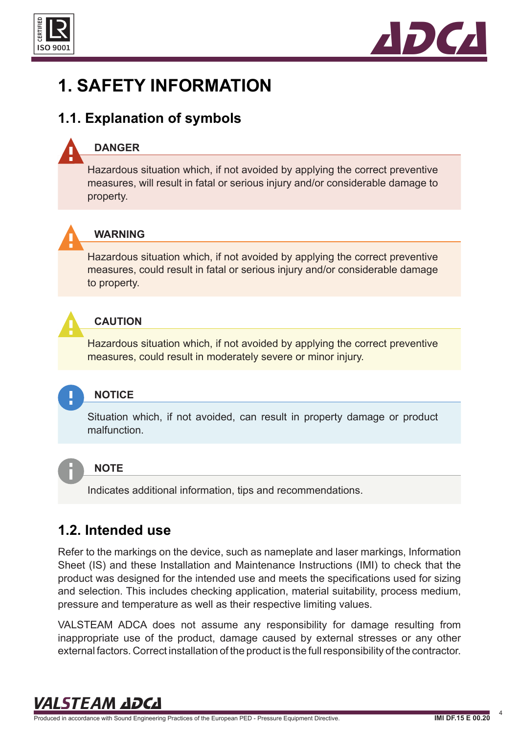<span id="page-3-0"></span>



### **1. SAFETY INFORMATION**

### **1.1. Explanation of symbols**

#### **DANGER**

Hazardous situation which, if not avoided by applying the correct preventive measures, will result in fatal or serious injury and/or considerable damage to property.



#### **WARNING**

Hazardous situation which, if not avoided by applying the correct preventive measures, could result in fatal or serious injury and/or considerable damage to property.



#### **CAUTION**

Hazardous situation which, if not avoided by applying the correct preventive measures, could result in moderately severe or minor injury.



#### **NOTICE**

Situation which, if not avoided, can result in property damage or product malfunction.



#### **NOTE**

Indicates additional information, tips and recommendations.

### **1.2. Intended use**

Refer to the markings on the device, such as nameplate and laser markings, Information Sheet (IS) and these Installation and Maintenance Instructions (IMI) to check that the product was designed for the intended use and meets the specifications used for sizing and selection. This includes checking application, material suitability, process medium, pressure and temperature as well as their respective limiting values.

VALSTEAM ADCA does not assume any responsibility for damage resulting from inappropriate use of the product, damage caused by external stresses or any other external factors. Correct installation of the product is the full responsibility of the contractor.

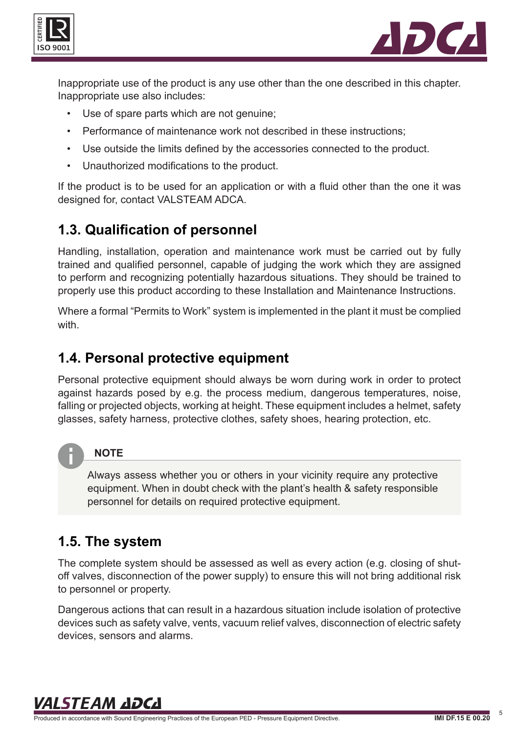<span id="page-4-0"></span>



Inappropriate use of the product is any use other than the one described in this chapter. Inappropriate use also includes:

- Use of spare parts which are not genuine;
- Performance of maintenance work not described in these instructions;
- Use outside the limits defined by the accessories connected to the product.
- Unauthorized modifications to the product.

If the product is to be used for an application or with a fluid other than the one it was designed for, contact VALSTEAM ADCA.

### **1.3. Qualification of personnel**

Handling, installation, operation and maintenance work must be carried out by fully trained and qualified personnel, capable of judging the work which they are assigned to perform and recognizing potentially hazardous situations. They should be trained to properly use this product according to these Installation and Maintenance Instructions.

Where a formal "Permits to Work" system is implemented in the plant it must be complied with.

### **1.4. Personal protective equipment**

Personal protective equipment should always be worn during work in order to protect against hazards posed by e.g. the process medium, dangerous temperatures, noise, falling or projected objects, working at height. These equipment includes a helmet, safety glasses, safety harness, protective clothes, safety shoes, hearing protection, etc.



#### **NOTE**

Always assess whether you or others in your vicinity require any protective equipment. When in doubt check with the plant's health & safety responsible personnel for details on required protective equipment.

### **1.5. The system**

The complete system should be assessed as well as every action (e.g. closing of shutoff valves, disconnection of the power supply) to ensure this will not bring additional risk to personnel or property.

Dangerous actions that can result in a hazardous situation include isolation of protective devices such as safety valve, vents, vacuum relief valves, disconnection of electric safety devices, sensors and alarms.

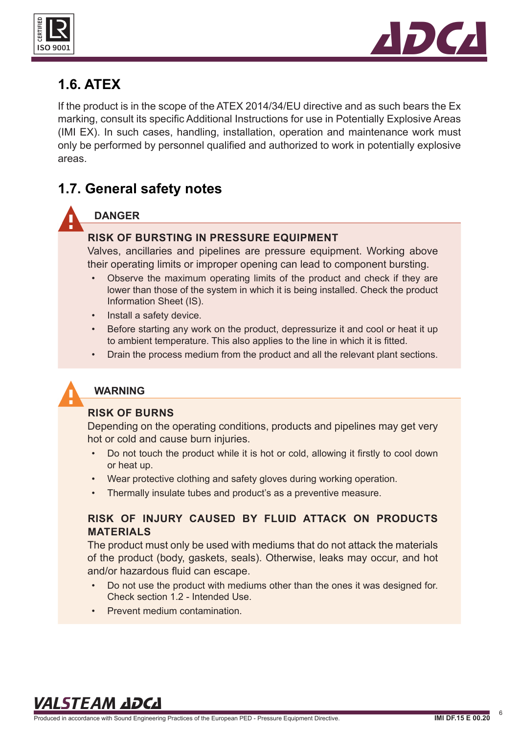<span id="page-5-0"></span>



### **1.6. ATEX**

If the product is in the scope of the ATEX 2014/34/EU directive and as such bears the Ex marking, consult its specific Additional Instructions for use in Potentially Explosive Areas (IMI EX). In such cases, handling, installation, operation and maintenance work must only be performed by personnel qualified and authorized to work in potentially explosive areas.

### **1.7. General safety notes**

#### **DANGER**

#### **RISK OF BURSTING IN PRESSURE EQUIPMENT**

Valves, ancillaries and pipelines are pressure equipment. Working above their operating limits or improper opening can lead to component bursting.

- Observe the maximum operating limits of the product and check if they are lower than those of the system in which it is being installed. Check the product Information Sheet (IS).
- Install a safety device.
- Before starting any work on the product, depressurize it and cool or heat it up to ambient temperature. This also applies to the line in which it is fitted.
- Drain the process medium from the product and all the relevant plant sections.



#### **WARNING**

#### **RISK OF BURNS**

Depending on the operating conditions, products and pipelines may get very hot or cold and cause burn injuries.

- Do not touch the product while it is hot or cold, allowing it firstly to cool down or heat up.
- Wear protective clothing and safety gloves during working operation.
- Thermally insulate tubes and product's as a preventive measure.

#### **RISK OF INJURY CAUSED BY FLUID ATTACK ON PRODUCTS MATERIALS**

The product must only be used with mediums that do not attack the materials of the product (body, gaskets, seals). Otherwise, leaks may occur, and hot and/or hazardous fluid can escape.

- Do not use the product with mediums other than the ones it was designed for. Check section 1.2 - Intended Use.
- Prevent medium contamination.

### VALSTEAM ADCA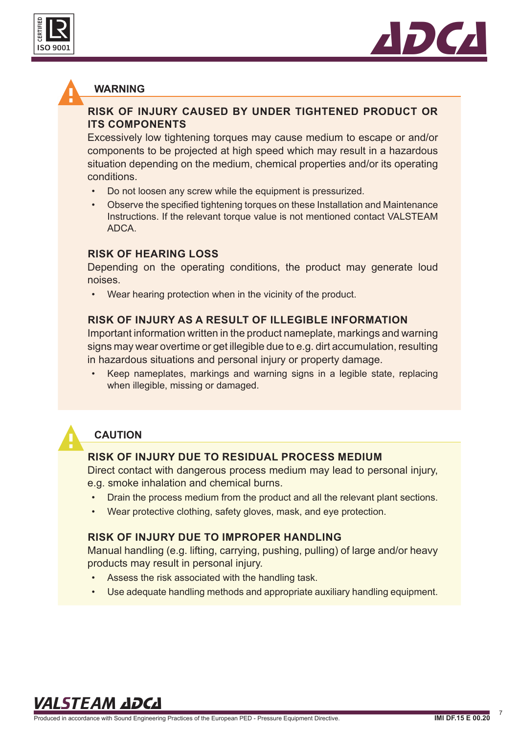



#### **WARNING**

#### **RISK OF INJURY CAUSED BY UNDER TIGHTENED PRODUCT OR ITS COMPONENTS**

Excessively low tightening torques may cause medium to escape or and/or components to be projected at high speed which may result in a hazardous situation depending on the medium, chemical properties and/or its operating conditions.

- Do not loosen any screw while the equipment is pressurized.
- Observe the specified tightening torques on these Installation and Maintenance Instructions. If the relevant torque value is not mentioned contact VALSTEAM ADCA.

#### **RISK OF HEARING LOSS**

Depending on the operating conditions, the product may generate loud noises.

Wear hearing protection when in the vicinity of the product.

#### **RISK OF INJURY AS A RESULT OF ILLEGIBLE INFORMATION**

Important information written in the product nameplate, markings and warning signs may wear overtime or get illegible due to e.g. dirt accumulation, resulting in hazardous situations and personal injury or property damage.

• Keep nameplates, markings and warning signs in a legible state, replacing when illegible, missing or damaged.



#### **CAUTION**

#### **RISK OF INJURY DUE TO RESIDUAL PROCESS MEDIUM**

Direct contact with dangerous process medium may lead to personal injury, e.g. smoke inhalation and chemical burns.

- Drain the process medium from the product and all the relevant plant sections.
- Wear protective clothing, safety gloves, mask, and eye protection.

#### **RISK OF INJURY DUE TO IMPROPER HANDLING**

Manual handling (e.g. lifting, carrying, pushing, pulling) of large and/or heavy products may result in personal injury.

- Assess the risk associated with the handling task.
- Use adequate handling methods and appropriate auxiliary handling equipment.

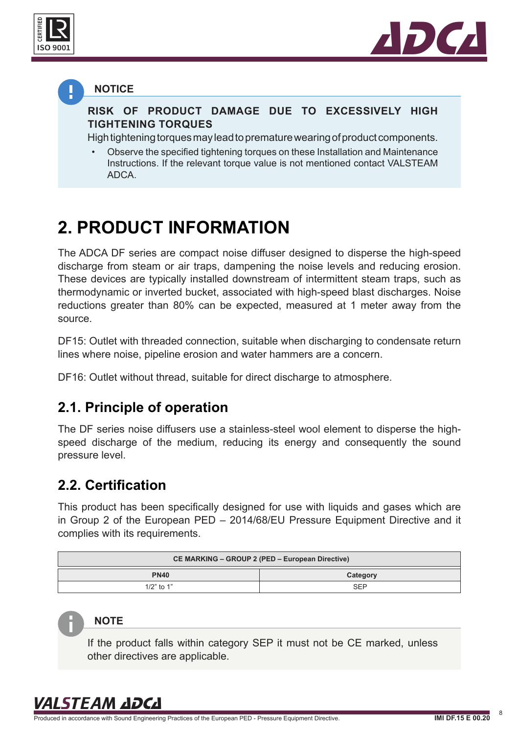<span id="page-7-0"></span>



#### **NOTICE**

**RISK OF PRODUCT DAMAGE DUE TO EXCESSIVELY HIGH TIGHTENING TORQUES**

High tightening torques may lead to premature wearing of product components.

• Observe the specified tightening torques on these Installation and Maintenance Instructions. If the relevant torque value is not mentioned contact VALSTEAM ADCA.

### **2. PRODUCT INFORMATION**

The ADCA DF series are compact noise diffuser designed to disperse the high-speed discharge from steam or air traps, dampening the noise levels and reducing erosion. These devices are typically installed downstream of intermittent steam traps, such as thermodynamic or inverted bucket, associated with high-speed blast discharges. Noise reductions greater than 80% can be expected, measured at 1 meter away from the source.

DF15: Outlet with threaded connection, suitable when discharging to condensate return lines where noise, pipeline erosion and water hammers are a concern.

DF16: Outlet without thread, suitable for direct discharge to atmosphere.

#### **2.1. Principle of operation**

The DF series noise diffusers use a stainless-steel wool element to disperse the highspeed discharge of the medium, reducing its energy and consequently the sound pressure level.

### **2.2. Certification**

This product has been specifically designed for use with liquids and gases which are in Group 2 of the European PED – 2014/68/EU Pressure Equipment Directive and it complies with its requirements.

| CE MARKING – GROUP 2 (PED – European Directive) |            |  |  |
|-------------------------------------------------|------------|--|--|
| <b>PN40</b>                                     | Category   |  |  |
| 1/2" to 1"                                      | <b>SEP</b> |  |  |

#### **NOTE**

If the product falls within category SEP it must not be CE marked, unless other directives are applicable.

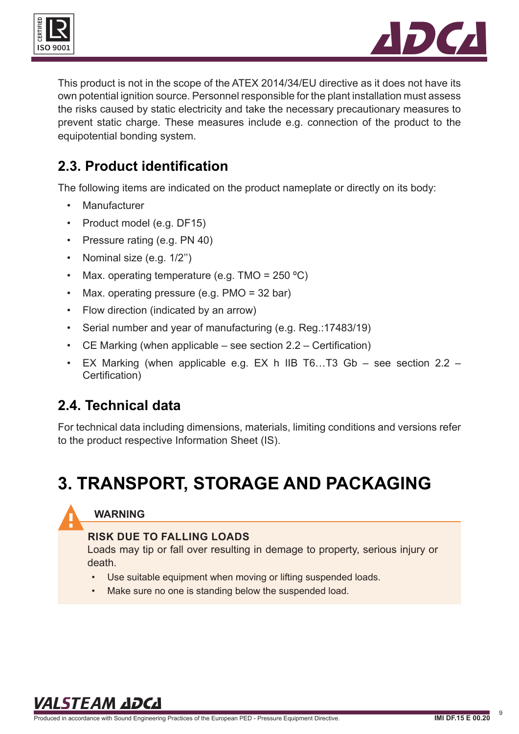<span id="page-8-0"></span>



This product is not in the scope of the ATEX 2014/34/EU directive as it does not have its own potential ignition source. Personnel responsible for the plant installation must assess the risks caused by static electricity and take the necessary precautionary measures to prevent static charge. These measures include e.g. connection of the product to the equipotential bonding system.

### **2.3. Product identification**

The following items are indicated on the product nameplate or directly on its body:

- Manufacturer
- Product model (e.g. DF15)
- Pressure rating (e.g. PN 40)
- Nominal size (e.g. 1/2")
- Max. operating temperature (e.g.  $TMO = 250 \degree C$ )
- Max. operating pressure (e.g. PMO = 32 bar)
- Flow direction (indicated by an arrow)
- Serial number and year of manufacturing (e.g. Reg.:17483/19)
- CE Marking (when applicable see section 2.2 Certification)
- EX Marking (when applicable e.g. EX h IIB T6…T3 Gb see section 2.2 Certification)

### **2.4. Technical data**

For technical data including dimensions, materials, limiting conditions and versions refer to the product respective Information Sheet (IS).

### **3. TRANSPORT, STORAGE AND PACKAGING**

### **WARNING**

#### **RISK DUE TO FALLING LOADS**

Loads may tip or fall over resulting in demage to property, serious injury or death.

- Use suitable equipment when moving or lifting suspended loads.
- Make sure no one is standing below the suspended load.

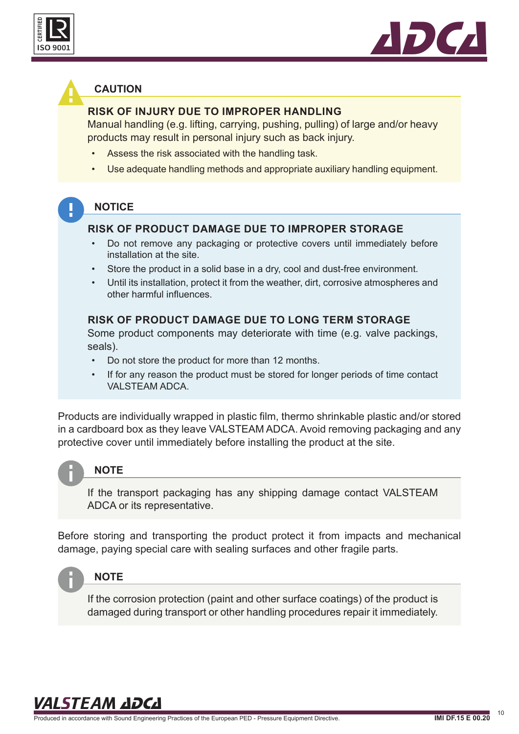



#### **CAUTION**

#### **RISK OF INJURY DUE TO IMPROPER HANDLING**

Manual handling (e.g. lifting, carrying, pushing, pulling) of large and/or heavy products may result in personal injury such as back injury.

- Assess the risk associated with the handling task.
- Use adequate handling methods and appropriate auxiliary handling equipment.

#### **NOTICE**

#### **RISK OF PRODUCT DAMAGE DUE TO IMPROPER STORAGE**

- Do not remove any packaging or protective covers until immediately before installation at the site.
- Store the product in a solid base in a dry, cool and dust-free environment.
- Until its installation, protect it from the weather, dirt, corrosive atmospheres and other harmful influences.

#### **RISK OF PRODUCT DAMAGE DUE TO LONG TERM STORAGE**

Some product components may deteriorate with time (e.g. valve packings, seals).

- Do not store the product for more than 12 months.
- If for any reason the product must be stored for longer periods of time contact VALSTEAM ADCA.

Products are individually wrapped in plastic film, thermo shrinkable plastic and/or stored in a cardboard box as they leave VALSTEAM ADCA. Avoid removing packaging and any protective cover until immediately before installing the product at the site.



#### **NOTE**

If the transport packaging has any shipping damage contact VALSTEAM ADCA or its representative.

Before storing and transporting the product protect it from impacts and mechanical damage, paying special care with sealing surfaces and other fragile parts.



#### **NOTE**

If the corrosion protection (paint and other surface coatings) of the product is damaged during transport or other handling procedures repair it immediately.

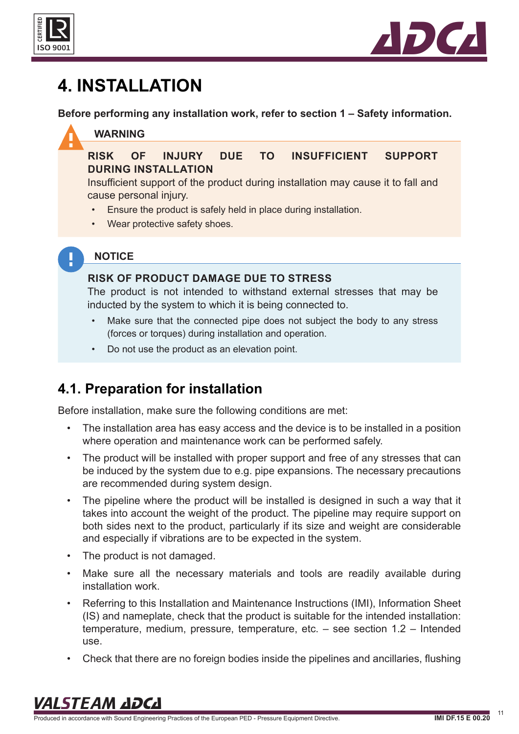<span id="page-10-0"></span>



### **4. INSTALLATION**

**Before performing any installation work, refer to section 1 – Safety information.**

#### **WARNING**

**NOTICE**

#### **RISK OF INJURY DUE TO INSUFFICIENT SUPPORT DURING INSTALLATION**

Insufficient support of the product during installation may cause it to fall and cause personal injury.

- Ensure the product is safely held in place during installation.
- Wear protective safety shoes.

### Į.

#### **RISK OF PRODUCT DAMAGE DUE TO STRESS**

The product is not intended to withstand external stresses that may be inducted by the system to which it is being connected to.

- Make sure that the connected pipe does not subject the body to any stress (forces or torques) during installation and operation.
- Do not use the product as an elevation point.

### **4.1. Preparation for installation**

Before installation, make sure the following conditions are met:

- The installation area has easy access and the device is to be installed in a position where operation and maintenance work can be performed safely.
- The product will be installed with proper support and free of any stresses that can be induced by the system due to e.g. pipe expansions. The necessary precautions are recommended during system design.
- The pipeline where the product will be installed is designed in such a way that it takes into account the weight of the product. The pipeline may require support on both sides next to the product, particularly if its size and weight are considerable and especially if vibrations are to be expected in the system.
- The product is not damaged.
- Make sure all the necessary materials and tools are readily available during installation work.
- Referring to this Installation and Maintenance Instructions (IMI), Information Sheet (IS) and nameplate, check that the product is suitable for the intended installation: temperature, medium, pressure, temperature, etc. – see section 1.2 – Intended use.
- Check that there are no foreign bodies inside the pipelines and ancillaries, flushing

### VALSTEAM ADCA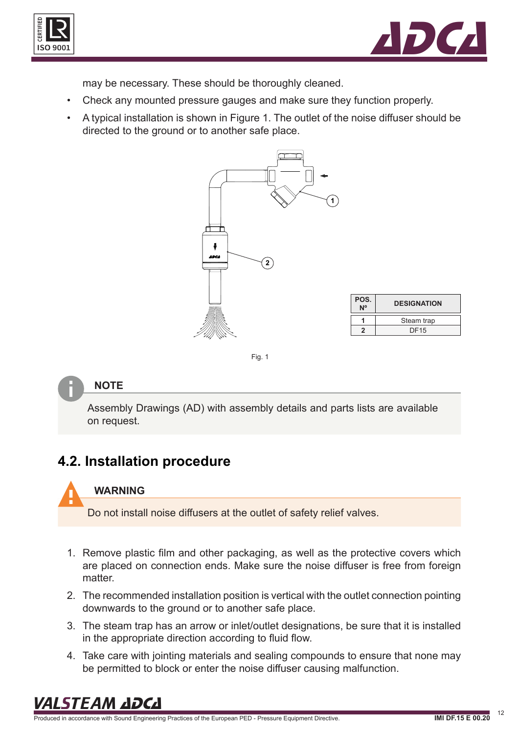<span id="page-11-0"></span>



may be necessary. These should be thoroughly cleaned.

- Check any mounted pressure gauges and make sure they function properly.
- A typical installation is shown in Figure 1. The outlet of the noise diffuser should be directed to the ground or to another safe place.



| POS.<br>N <sup>o</sup> | <b>DESIGNATION</b> |  |
|------------------------|--------------------|--|
|                        | Steam trap         |  |
| 2                      | <b>DF15</b>        |  |
|                        |                    |  |

Fig. 1

#### **NOTE**

Assembly Drawings (AD) with assembly details and parts lists are available on request.

### **4.2. Installation procedure**



#### **WARNING**

Do not install noise diffusers at the outlet of safety relief valves.

- 1. Remove plastic film and other packaging, as well as the protective covers which are placed on connection ends. Make sure the noise diffuser is free from foreign matter.
- 2. The recommended installation position is vertical with the outlet connection pointing downwards to the ground or to another safe place.
- 3. The steam trap has an arrow or inlet/outlet designations, be sure that it is installed in the appropriate direction according to fluid flow.
- 4. Take care with jointing materials and sealing compounds to ensure that none may be permitted to block or enter the noise diffuser causing malfunction.

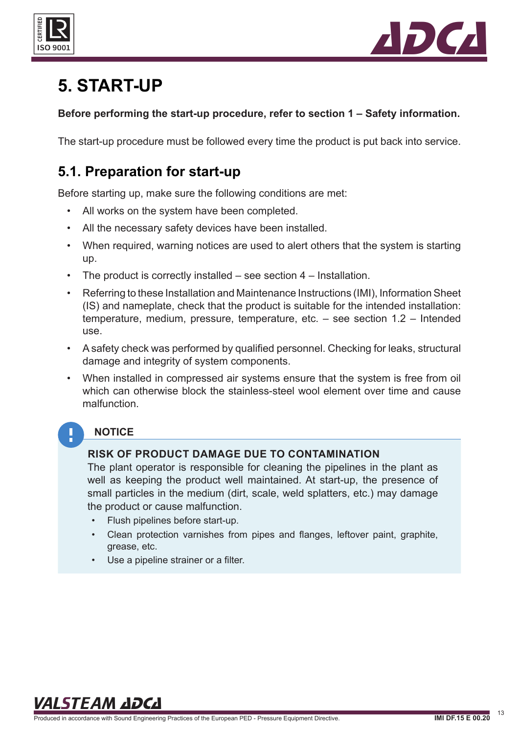<span id="page-12-0"></span>



### **5. START-UP**

#### **Before performing the start-up procedure, refer to section 1 – Safety information.**

The start-up procedure must be followed every time the product is put back into service.

### **5.1. Preparation for start-up**

Before starting up, make sure the following conditions are met:

- All works on the system have been completed.
- All the necessary safety devices have been installed.
- When required, warning notices are used to alert others that the system is starting up.
- The product is correctly installed  $-$  see section  $4$  Installation.
- Referring to these Installation and Maintenance Instructions (IMI), Information Sheet (IS) and nameplate, check that the product is suitable for the intended installation: temperature, medium, pressure, temperature, etc. – see section 1.2 – Intended use.
- A safety check was performed by qualified personnel. Checking for leaks, structural damage and integrity of system components.
- When installed in compressed air systems ensure that the system is free from oil which can otherwise block the stainless-steel wool element over time and cause malfunction.

#### **NOTICE**

#### **RISK OF PRODUCT DAMAGE DUE TO CONTAMINATION**

The plant operator is responsible for cleaning the pipelines in the plant as well as keeping the product well maintained. At start-up, the presence of small particles in the medium (dirt, scale, weld splatters, etc.) may damage the product or cause malfunction.

- Flush pipelines before start-up.
- Clean protection varnishes from pipes and flanges, leftover paint, graphite, grease, etc.
- Use a pipeline strainer or a filter.

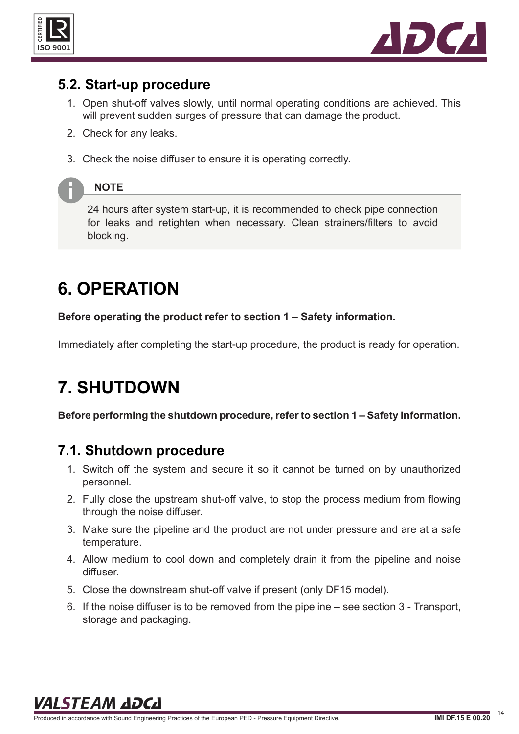<span id="page-13-0"></span>



### **5.2. Start-up procedure**

- 1. Open shut-off valves slowly, until normal operating conditions are achieved. This will prevent sudden surges of pressure that can damage the product.
- 2. Check for any leaks.
- 3. Check the noise diffuser to ensure it is operating correctly.

#### **NOTE**

24 hours after system start-up, it is recommended to check pipe connection for leaks and retighten when necessary. Clean strainers/filters to avoid blocking.

## **6. OPERATION**

**Before operating the product refer to section 1 – Safety information.**

Immediately after completing the start-up procedure, the product is ready for operation.

### **7. SHUTDOWN**

**Before performing the shutdown procedure, refer to section 1 – Safety information.**

### **7.1. Shutdown procedure**

- 1. Switch off the system and secure it so it cannot be turned on by unauthorized personnel.
- 2. Fully close the upstream shut-off valve, to stop the process medium from flowing through the noise diffuser.
- 3. Make sure the pipeline and the product are not under pressure and are at a safe temperature.
- 4. Allow medium to cool down and completely drain it from the pipeline and noise diffuser.
- 5. Close the downstream shut-off valve if present (only DF15 model).
- 6. If the noise diffuser is to be removed from the pipeline see section 3 Transport, storage and packaging.

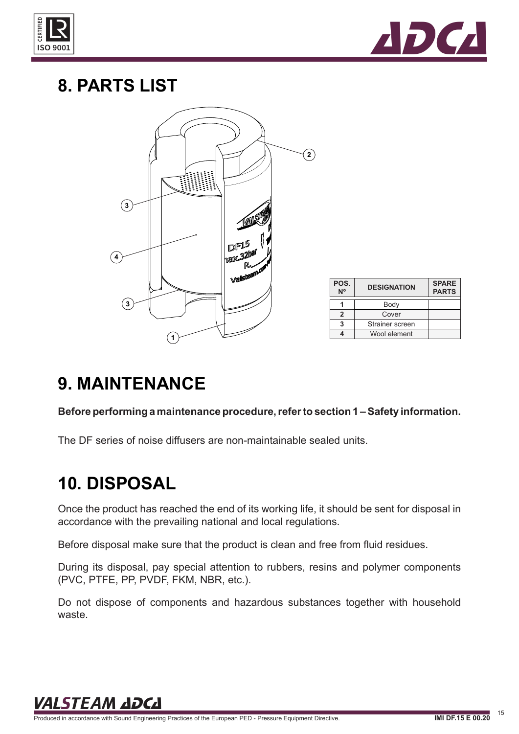<span id="page-14-0"></span>



### **8. PARTS LIST**



| POS.<br>$\overline{N}^{\circ}$ | <b>DESIGNATION</b> | <b>SPARE</b><br><b>PARTS</b> |
|--------------------------------|--------------------|------------------------------|
|                                | Body               |                              |
| 2                              | Cover              |                              |
|                                | Strainer screen    |                              |
|                                | Wool element       |                              |

### **9. MAINTENANCE**

**Before performing a maintenance procedure, refer to section 1 – Safety information.**

The DF series of noise diffusers are non-maintainable sealed units.

### **10. DISPOSAL**

Once the product has reached the end of its working life, it should be sent for disposal in accordance with the prevailing national and local regulations.

Before disposal make sure that the product is clean and free from fluid residues.

During its disposal, pay special attention to rubbers, resins and polymer components (PVC, PTFE, PP, PVDF, FKM, NBR, etc.).

Do not dispose of components and hazardous substances together with household waste.